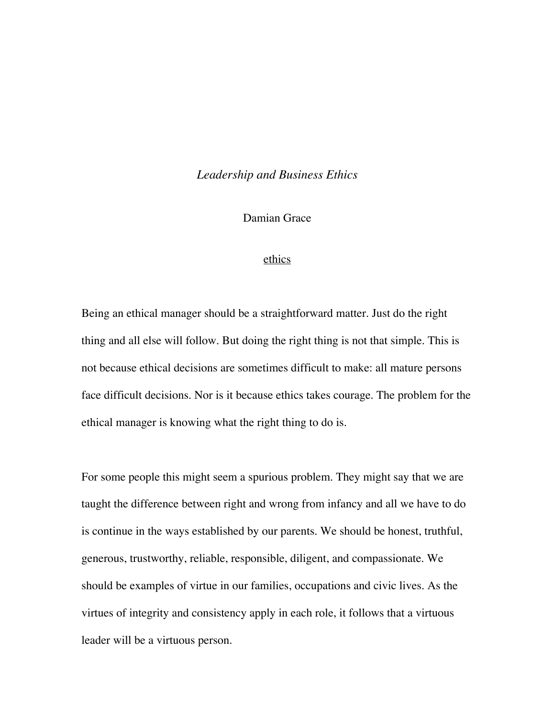## *Leadership and Business Ethics*

Damian Grace

## ethics

Being an ethical manager should be a straightforward matter. Just do the right thing and all else will follow. But doing the right thing is not that simple. This is not because ethical decisions are sometimes difficult to make: all mature persons face difficult decisions. Nor is it because ethics takes courage. The problem for the ethical manager is knowing what the right thing to do is.

For some people this might seem a spurious problem. They might say that we are taught the difference between right and wrong from infancy and all we have to do is continue in the ways established by our parents. We should be honest, truthful, generous, trustworthy, reliable, responsible, diligent, and compassionate. We should be examples of virtue in our families, occupations and civic lives. As the virtues of integrity and consistency apply in each role, it follows that a virtuous leader will be a virtuous person.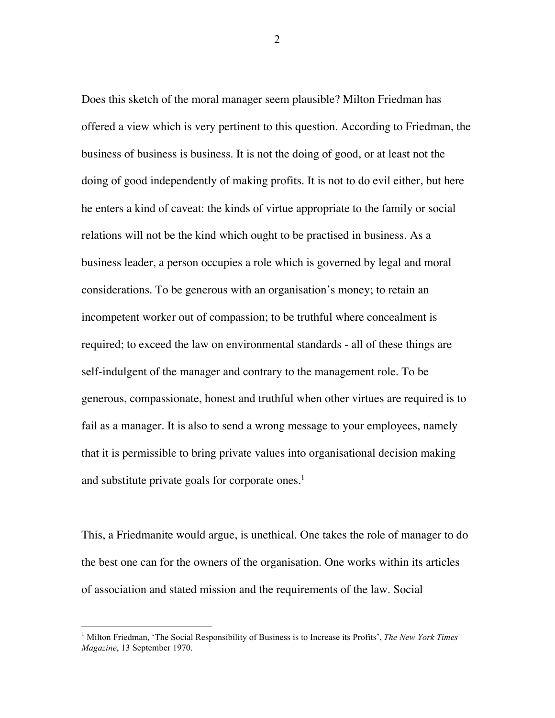Does this sketch of the moral manager seem plausible? Milton Friedman has offered a view which is very pertinent to this question. According to Friedman, the business of business is business. It is not the doing of good, or at least not the doing of good independently of making profits. It is not to do evil either, but here he enters a kind of caveat: the kinds of virtue appropriate to the family or social relations will not be the kind which ought to be practised in business. As a business leader, a person occupies a role which is governed by legal and moral considerations. To be generous with an organisation's money; to retain an incompetent worker out of compassion; to be truthful where concealment is required; to exceed the law on environmental standards - all of these things are self-indulgent of the manager and contrary to the management role. To be generous, compassionate, honest and truthful when other virtues are required is to fail as a manager. It is also to send a wrong message to your employees, namely that it is permissible to bring private values into organisational decision making and substitute private goals for corporate ones.<sup>1</sup>

This, a Friedmanite would argue, is unethical. One takes the role of manager to do the best one can for the owners of the organisation. One works within its articles of association and stated mission and the requirements of the law. Social

2

 $\frac{1}{1}$ <sup>1</sup> Milton Friedman, 'The Social Responsibility of Business is to Increase its Profits', *The New York Times Magazine*, 13 September 1970.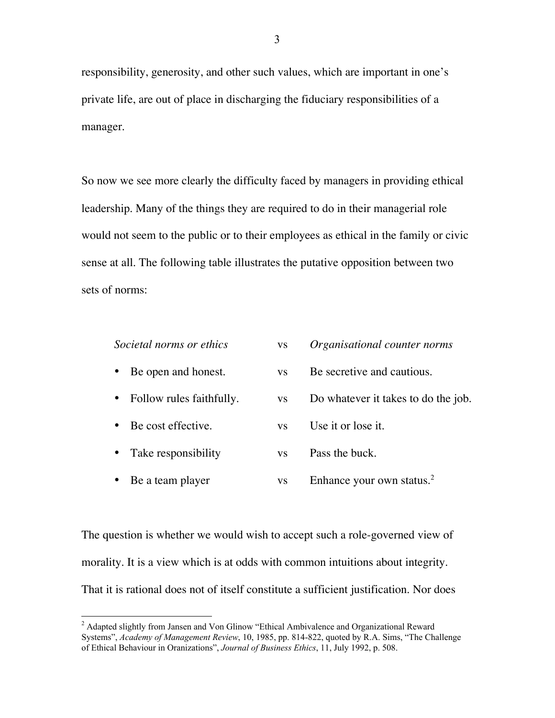responsibility, generosity, and other such values, which are important in one's private life, are out of place in discharging the fiduciary responsibilities of a manager.

So now we see more clearly the difficulty faced by managers in providing ethical leadership. Many of the things they are required to do in their managerial role would not seem to the public or to their employees as ethical in the family or civic sense at all. The following table illustrates the putative opposition between two sets of norms:

| Societal norms or ethics | VS        | Organisational counter norms          |
|--------------------------|-----------|---------------------------------------|
| Be open and honest.      | <b>VS</b> | Be secretive and cautious.            |
| Follow rules faithfully. | <b>VS</b> | Do whatever it takes to do the job.   |
| Be cost effective.       | VS.       | Use it or lose it.                    |
| Take responsibility      | VS.       | Pass the buck.                        |
| Be a team player         | VS        | Enhance your own status. <sup>2</sup> |

The question is whether we would wish to accept such a role-governed view of morality. It is a view which is at odds with common intuitions about integrity. That it is rational does not of itself constitute a sufficient justification. Nor does

 $\frac{1}{2}$ <sup>2</sup> Adapted slightly from Jansen and Von Glinow "Ethical Ambivalence and Organizational Reward Systems", *Academy of Management Review*, 10, 1985, pp. 814-822, quoted by R.A. Sims, "The Challenge of Ethical Behaviour in Oranizations", *Journal of Business Ethics*, 11, July 1992, p. 508.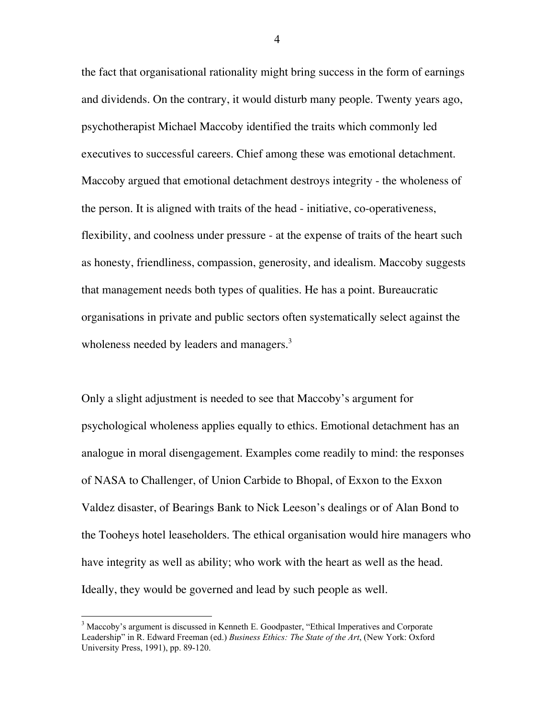the fact that organisational rationality might bring success in the form of earnings and dividends. On the contrary, it would disturb many people. Twenty years ago, psychotherapist Michael Maccoby identified the traits which commonly led executives to successful careers. Chief among these was emotional detachment. Maccoby argued that emotional detachment destroys integrity - the wholeness of the person. It is aligned with traits of the head - initiative, co-operativeness, flexibility, and coolness under pressure - at the expense of traits of the heart such as honesty, friendliness, compassion, generosity, and idealism. Maccoby suggests that management needs both types of qualities. He has a point. Bureaucratic organisations in private and public sectors often systematically select against the wholeness needed by leaders and managers.<sup>3</sup>

Only a slight adjustment is needed to see that Maccoby's argument for psychological wholeness applies equally to ethics. Emotional detachment has an analogue in moral disengagement. Examples come readily to mind: the responses of NASA to Challenger, of Union Carbide to Bhopal, of Exxon to the Exxon Valdez disaster, of Bearings Bank to Nick Leeson's dealings or of Alan Bond to the Tooheys hotel leaseholders. The ethical organisation would hire managers who have integrity as well as ability; who work with the heart as well as the head. Ideally, they would be governed and lead by such people as well.

4

<sup>&</sup>lt;sup>2</sup><br>3 <sup>3</sup> Maccoby's argument is discussed in Kenneth E. Goodpaster, "Ethical Imperatives and Corporate Leadership" in R. Edward Freeman (ed.) *Business Ethics: The State of the Art*, (New York: Oxford University Press, 1991), pp. 89-120.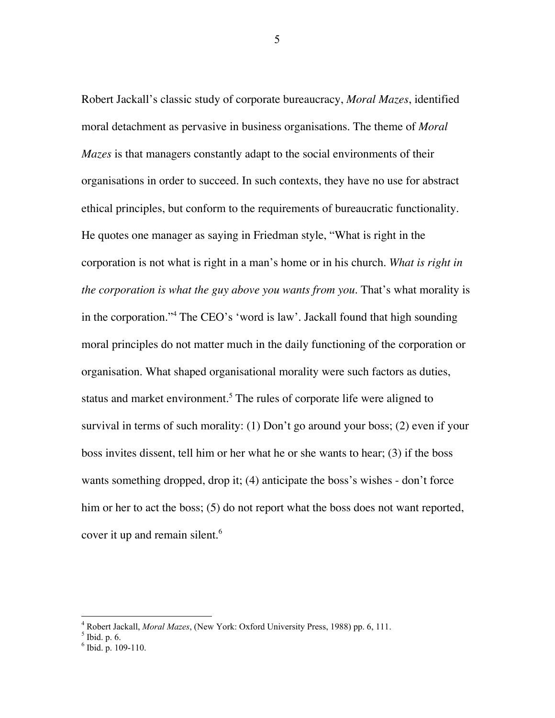Robert Jackall's classic study of corporate bureaucracy, *Moral Mazes*, identified moral detachment as pervasive in business organisations. The theme of *Moral Mazes* is that managers constantly adapt to the social environments of their organisations in order to succeed. In such contexts, they have no use for abstract ethical principles, but conform to the requirements of bureaucratic functionality. He quotes one manager as saying in Friedman style, "What is right in the corporation is not what is right in a man's home or in his church. *What is right in the corporation is what the guy above you wants from you.* That's what morality is in the corporation."4 The CEO's 'word is law'. Jackall found that high sounding moral principles do not matter much in the daily functioning of the corporation or organisation. What shaped organisational morality were such factors as duties, status and market environment.<sup>5</sup> The rules of corporate life were aligned to survival in terms of such morality: (1) Don't go around your boss; (2) even if your boss invites dissent, tell him or her what he or she wants to hear; (3) if the boss wants something dropped, drop it; (4) anticipate the boss's wishes - don't force him or her to act the boss; (5) do not report what the boss does not want reported, cover it up and remain silent.<sup>6</sup>

 $\frac{1}{4}$ <sup>4</sup> Robert Jackall, *Moral Mazes*, (New York: Oxford University Press, 1988) pp. 6, 111.<br><sup>5</sup> Ibid. p. 6.

<sup>6</sup> Ibid. p. 109-110.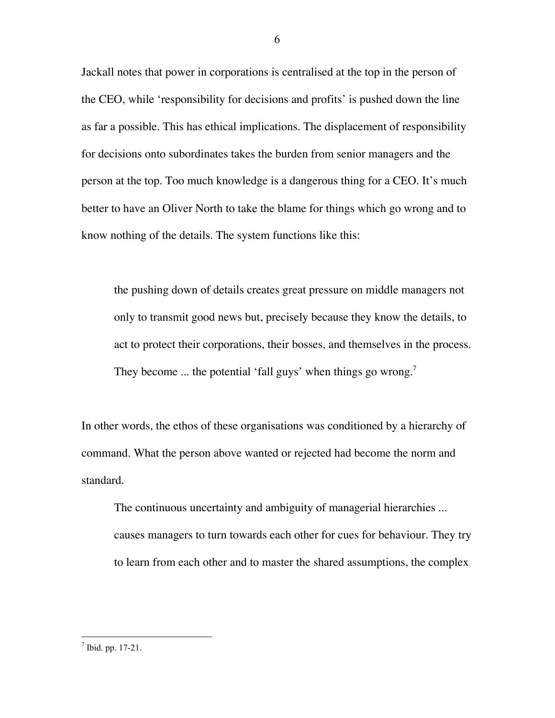Jackall notes that power in corporations is centralised at the top in the person of the CEO, while 'responsibility for decisions and profits' is pushed down the line as far a possible. This has ethical implications. The displacement of responsibility for decisions onto subordinates takes the burden from senior managers and the person at the top. Too much knowledge is a dangerous thing for a CEO. It's much better to have an Oliver North to take the blame for things which go wrong and to know nothing of the details. The system functions like this:

the pushing down of details creates great pressure on middle managers not only to transmit good news but, precisely because they know the details, to act to protect their corporations, their bosses, and themselves in the process. They become ... the potential 'fall guys' when things go wrong.<sup>7</sup>

In other words, the ethos of these organisations was conditioned by a hierarchy of command. What the person above wanted or rejected had become the norm and standard.

The continuous uncertainty and ambiguity of managerial hierarchies ... causes managers to turn towards each other for cues for behaviour. They try to learn from each other and to master the shared assumptions, the complex

<sup>-&</sup>lt;br>7  $<sup>7</sup>$  Ibid. pp. 17-21.</sup>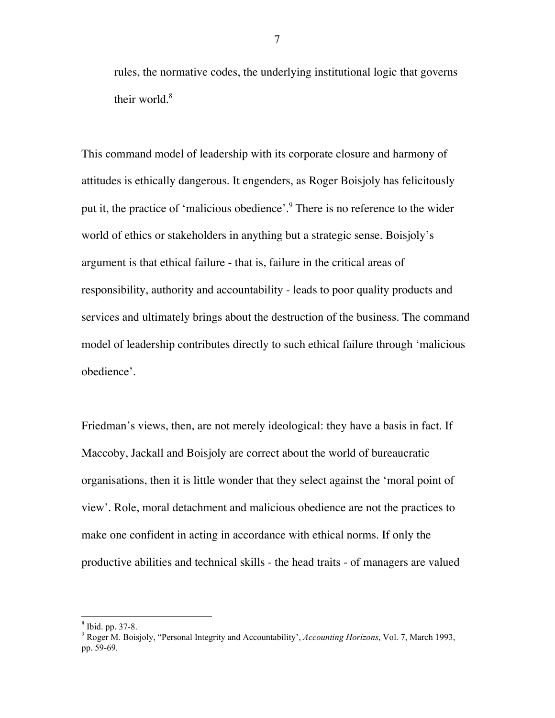rules, the normative codes, the underlying institutional logic that governs their world. $8$ 

This command model of leadership with its corporate closure and harmony of attitudes is ethically dangerous. It engenders, as Roger Boisjoly has felicitously put it, the practice of 'malicious obedience'.<sup>9</sup> There is no reference to the wider world of ethics or stakeholders in anything but a strategic sense. Boisjoly's argument is that ethical failure - that is, failure in the critical areas of responsibility, authority and accountability - leads to poor quality products and services and ultimately brings about the destruction of the business. The command model of leadership contributes directly to such ethical failure through 'malicious obedience'.

Friedman's views, then, are not merely ideological: they have a basis in fact. If Maccoby, Jackall and Boisjoly are correct about the world of bureaucratic organisations, then it is little wonder that they select against the 'moral point of view'. Role, moral detachment and malicious obedience are not the practices to make one confident in acting in accordance with ethical norms. If only the productive abilities and technical skills - the head traits - of managers are valued

8  $8$  Ibid. pp. 37-8.

<sup>9</sup> Roger M. Boisjoly, "Personal Integrity and Accountability', *Accounting Horizons*, Vol. 7, March 1993, pp. 59-69.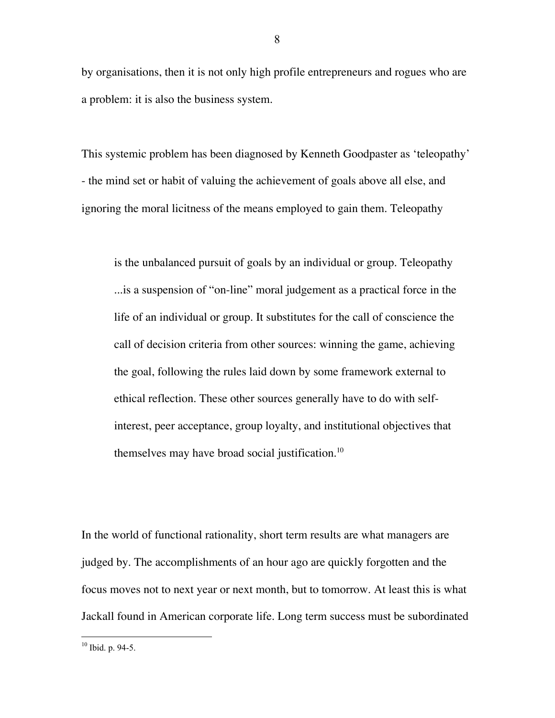by organisations, then it is not only high profile entrepreneurs and rogues who are a problem: it is also the business system.

This systemic problem has been diagnosed by Kenneth Goodpaster as 'teleopathy' - the mind set or habit of valuing the achievement of goals above all else, and ignoring the moral licitness of the means employed to gain them. Teleopathy

is the unbalanced pursuit of goals by an individual or group. Teleopathy ...is a suspension of "on-line" moral judgement as a practical force in the life of an individual or group. It substitutes for the call of conscience the call of decision criteria from other sources: winning the game, achieving the goal, following the rules laid down by some framework external to ethical reflection. These other sources generally have to do with selfinterest, peer acceptance, group loyalty, and institutional objectives that themselves may have broad social justification.<sup>10</sup>

In the world of functional rationality, short term results are what managers are judged by. The accomplishments of an hour ago are quickly forgotten and the focus moves not to next year or next month, but to tomorrow. At least this is what Jackall found in American corporate life. Long term success must be subordinated

8

 $\frac{10 \text{ Ibid. p. } 94 - 5.}{10 \text{ Ibid. p. } 94 - 5.}$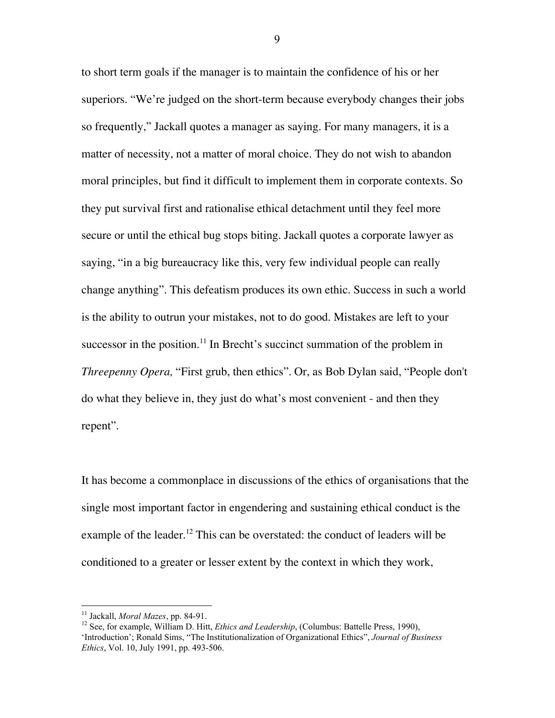to short term goals if the manager is to maintain the confidence of his or her superiors. "We're judged on the short-term because everybody changes their jobs so frequently," Jackall quotes a manager as saying. For many managers, it is a matter of necessity, not a matter of moral choice. They do not wish to abandon moral principles, but find it difficult to implement them in corporate contexts. So they put survival first and rationalise ethical detachment until they feel more secure or until the ethical bug stops biting. Jackall quotes a corporate lawyer as saying, "in a big bureaucracy like this, very few individual people can really change anything". This defeatism produces its own ethic. Success in such a world is the ability to outrun your mistakes, not to do good. Mistakes are left to your successor in the position.<sup>11</sup> In Brecht's succinct summation of the problem in *Threepenny Opera,* "First grub, then ethics". Or, as Bob Dylan said, "People don't do what they believe in, they just do what's most convenient - and then they repent".

It has become a commonplace in discussions of the ethics of organisations that the single most important factor in engendering and sustaining ethical conduct is the example of the leader.<sup>12</sup> This can be overstated: the conduct of leaders will be conditioned to a greater or lesser extent by the context in which they work,

 $\frac{1}{11}$ <sup>11</sup> Jackall, *Moral Mazes*, pp. 84-91.<br><sup>12</sup> See for example William D. Hit

<sup>&</sup>lt;sup>12</sup> See, for example, William D. Hitt, *Ethics and Leadership*, (Columbus: Battelle Press, 1990), 'Introduction'; Ronald Sims, "The Institutionalization of Organizational Ethics", *Journal of Business Ethics*, Vol. 10, July 1991, pp. 493-506.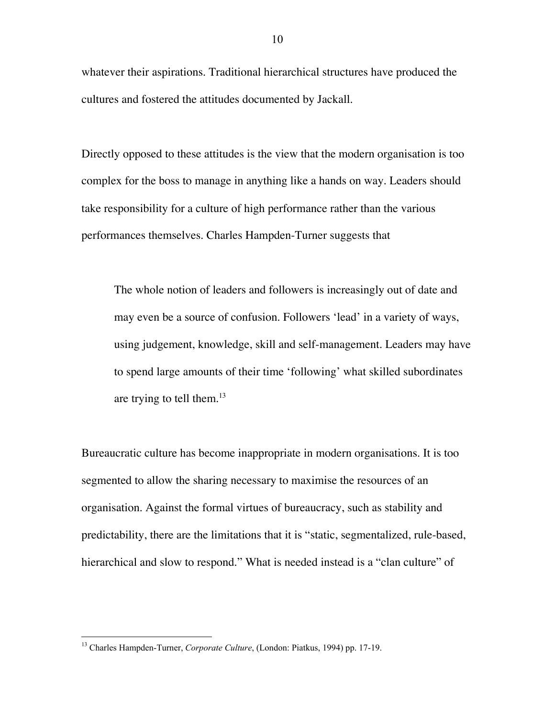whatever their aspirations. Traditional hierarchical structures have produced the cultures and fostered the attitudes documented by Jackall.

Directly opposed to these attitudes is the view that the modern organisation is too complex for the boss to manage in anything like a hands on way. Leaders should take responsibility for a culture of high performance rather than the various performances themselves. Charles Hampden-Turner suggests that

The whole notion of leaders and followers is increasingly out of date and may even be a source of confusion. Followers 'lead' in a variety of ways, using judgement, knowledge, skill and self-management. Leaders may have to spend large amounts of their time 'following' what skilled subordinates are trying to tell them.13

Bureaucratic culture has become inappropriate in modern organisations. It is too segmented to allow the sharing necessary to maximise the resources of an organisation. Against the formal virtues of bureaucracy, such as stability and predictability, there are the limitations that it is "static, segmentalized, rule-based, hierarchical and slow to respond." What is needed instead is a "clan culture" of

13 Charles Hampden-Turner, *Corporate Culture*, (London: Piatkus, 1994) pp. 17-19.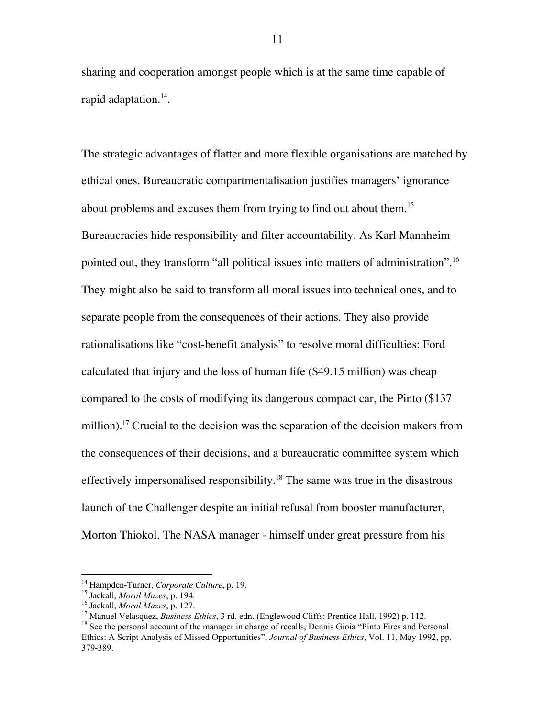sharing and cooperation amongst people which is at the same time capable of rapid adaptation.<sup>14</sup>.

The strategic advantages of flatter and more flexible organisations are matched by ethical ones. Bureaucratic compartmentalisation justifies managers' ignorance about problems and excuses them from trying to find out about them.15 Bureaucracies hide responsibility and filter accountability. As Karl Mannheim pointed out, they transform "all political issues into matters of administration".16 They might also be said to transform all moral issues into technical ones, and to separate people from the consequences of their actions. They also provide rationalisations like "cost-benefit analysis" to resolve moral difficulties: Ford calculated that injury and the loss of human life (\$49.15 million) was cheap compared to the costs of modifying its dangerous compact car, the Pinto (\$137 million).<sup>17</sup> Crucial to the decision was the separation of the decision makers from the consequences of their decisions, and a bureaucratic committee system which effectively impersonalised responsibility.<sup>18</sup> The same was true in the disastrous launch of the Challenger despite an initial refusal from booster manufacturer, Morton Thiokol. The NASA manager - himself under great pressure from his

 $\frac{14}{14}$ <sup>14</sup> Hampden-Turner, *Corporate Culture*, p. 19.<br><sup>15</sup> Joeltell, *Moval Marse, p. 194* 

<sup>&</sup>lt;sup>15</sup> Jackall, *Moral Mazes*, p. 194.

<sup>&</sup>lt;sup>16</sup> Jackall, *Moral Mazes*, p. 127.

<sup>&</sup>lt;sup>17</sup> Manuel Velasquez, *Business Ethics*, 3 rd. edn. (Englewood Cliffs: Prentice Hall, 1992) p. 112.

<sup>&</sup>lt;sup>18</sup> See the personal account of the manager in charge of recalls, Dennis Gioia "Pinto Fires and Personal" Ethics: A Script Analysis of Missed Opportunities", *Journal of Business Ethics*, Vol. 11, May 1992, pp. 379-389.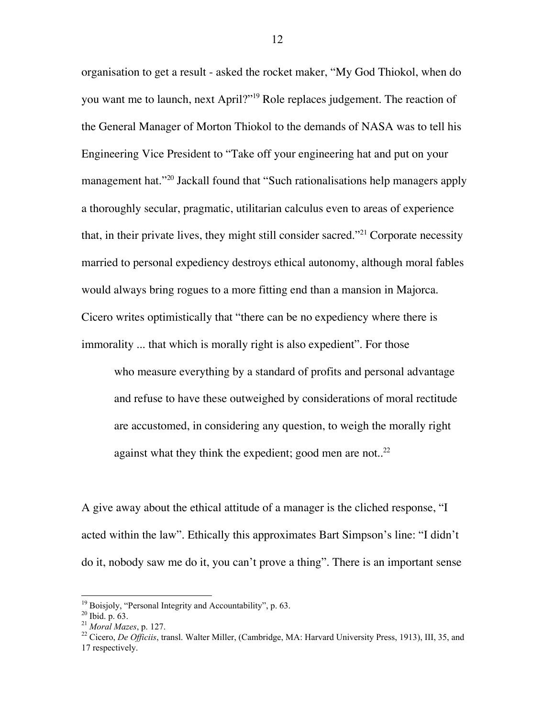organisation to get a result - asked the rocket maker, "My God Thiokol, when do you want me to launch, next April?"19 Role replaces judgement. The reaction of the General Manager of Morton Thiokol to the demands of NASA was to tell his Engineering Vice President to "Take off your engineering hat and put on your management hat."<sup>20</sup> Jackall found that "Such rationalisations help managers apply a thoroughly secular, pragmatic, utilitarian calculus even to areas of experience that, in their private lives, they might still consider sacred."<sup>21</sup> Corporate necessity married to personal expediency destroys ethical autonomy, although moral fables would always bring rogues to a more fitting end than a mansion in Majorca. Cicero writes optimistically that "there can be no expediency where there is immorality ... that which is morally right is also expedient". For those

who measure everything by a standard of profits and personal advantage and refuse to have these outweighed by considerations of moral rectitude are accustomed, in considering any question, to weigh the morally right against what they think the expedient; good men are not..<sup>22</sup>

A give away about the ethical attitude of a manager is the cliched response, "I acted within the law". Ethically this approximates Bart Simpson's line: "I didn't do it, nobody saw me do it, you can't prove a thing". There is an important sense

<sup>&</sup>lt;sup>19</sup> Boisjoly, "Personal Integrity and Accountability", p. 63.

 $^{20}$  Ibid. p. 63.

<sup>&</sup>lt;sup>21</sup> *Moral Mazes*, p. 127.

<sup>&</sup>lt;sup>22</sup> Cicero, *De Officiis*, transl. Walter Miller, (Cambridge, MA: Harvard University Press, 1913), III, 35, and 17 respectively.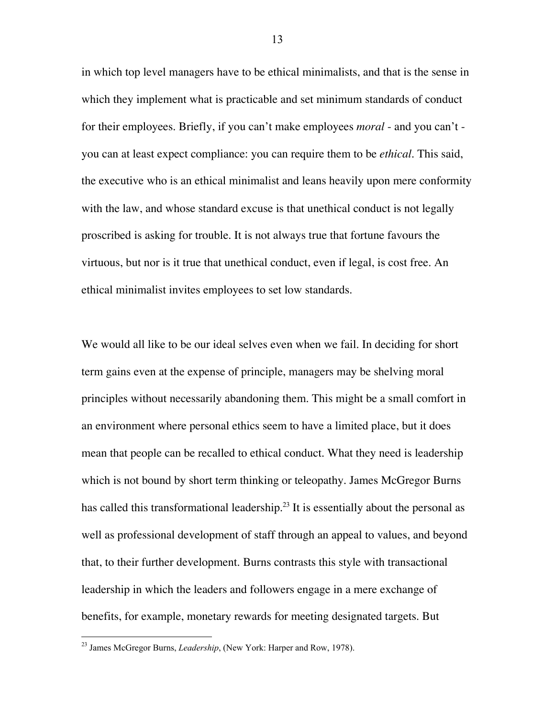in which top level managers have to be ethical minimalists, and that is the sense in which they implement what is practicable and set minimum standards of conduct for their employees. Briefly, if you can't make employees *moral* - and you can't you can at least expect compliance: you can require them to be *ethical*. This said, the executive who is an ethical minimalist and leans heavily upon mere conformity with the law, and whose standard excuse is that unethical conduct is not legally proscribed is asking for trouble. It is not always true that fortune favours the virtuous, but nor is it true that unethical conduct, even if legal, is cost free. An ethical minimalist invites employees to set low standards.

We would all like to be our ideal selves even when we fail. In deciding for short term gains even at the expense of principle, managers may be shelving moral principles without necessarily abandoning them. This might be a small comfort in an environment where personal ethics seem to have a limited place, but it does mean that people can be recalled to ethical conduct. What they need is leadership which is not bound by short term thinking or teleopathy. James McGregor Burns has called this transformational leadership. $^{23}$  It is essentially about the personal as well as professional development of staff through an appeal to values, and beyond that, to their further development. Burns contrasts this style with transactional leadership in which the leaders and followers engage in a mere exchange of benefits, for example, monetary rewards for meeting designated targets. But

<sup>&</sup>lt;sup>23</sup> James McGregor Burns, *Leadership*, (New York: Harper and Row, 1978).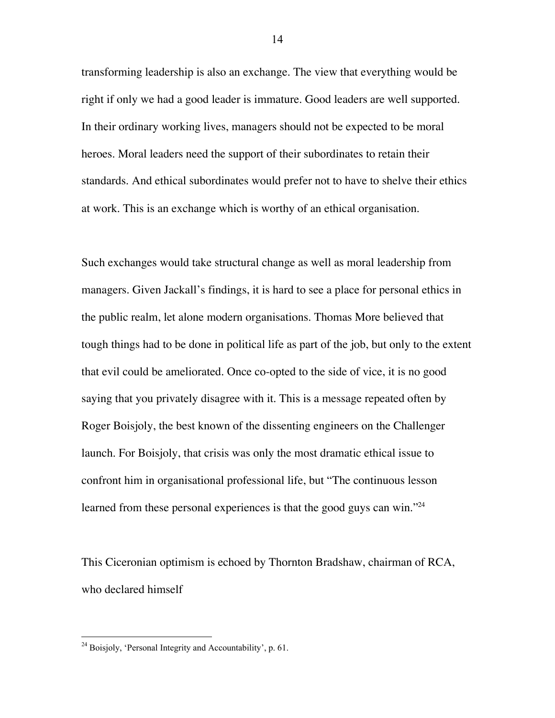transforming leadership is also an exchange. The view that everything would be right if only we had a good leader is immature. Good leaders are well supported. In their ordinary working lives, managers should not be expected to be moral heroes. Moral leaders need the support of their subordinates to retain their standards. And ethical subordinates would prefer not to have to shelve their ethics at work. This is an exchange which is worthy of an ethical organisation.

Such exchanges would take structural change as well as moral leadership from managers. Given Jackall's findings, it is hard to see a place for personal ethics in the public realm, let alone modern organisations. Thomas More believed that tough things had to be done in political life as part of the job, but only to the extent that evil could be ameliorated. Once co-opted to the side of vice, it is no good saying that you privately disagree with it. This is a message repeated often by Roger Boisjoly, the best known of the dissenting engineers on the Challenger launch. For Boisjoly, that crisis was only the most dramatic ethical issue to confront him in organisational professional life, but "The continuous lesson learned from these personal experiences is that the good guys can win.<sup>"24</sup>

This Ciceronian optimism is echoed by Thornton Bradshaw, chairman of RCA, who declared himself

<sup>&</sup>lt;sup>24</sup> Boisjoly, 'Personal Integrity and Accountability', p. 61.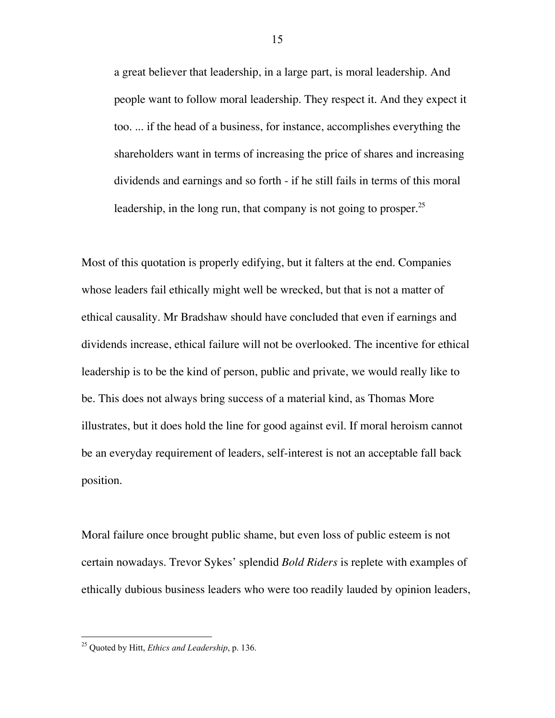a great believer that leadership, in a large part, is moral leadership. And people want to follow moral leadership. They respect it. And they expect it too. ... if the head of a business, for instance, accomplishes everything the shareholders want in terms of increasing the price of shares and increasing dividends and earnings and so forth - if he still fails in terms of this moral leadership, in the long run, that company is not going to prosper.<sup>25</sup>

Most of this quotation is properly edifying, but it falters at the end. Companies whose leaders fail ethically might well be wrecked, but that is not a matter of ethical causality. Mr Bradshaw should have concluded that even if earnings and dividends increase, ethical failure will not be overlooked. The incentive for ethical leadership is to be the kind of person, public and private, we would really like to be. This does not always bring success of a material kind, as Thomas More illustrates, but it does hold the line for good against evil. If moral heroism cannot be an everyday requirement of leaders, self-interest is not an acceptable fall back position.

Moral failure once brought public shame, but even loss of public esteem is not certain nowadays. Trevor Sykes' splendid *Bold Riders* is replete with examples of ethically dubious business leaders who were too readily lauded by opinion leaders,

25 Quoted by Hitt, *Ethics and Leadership*, p. 136.